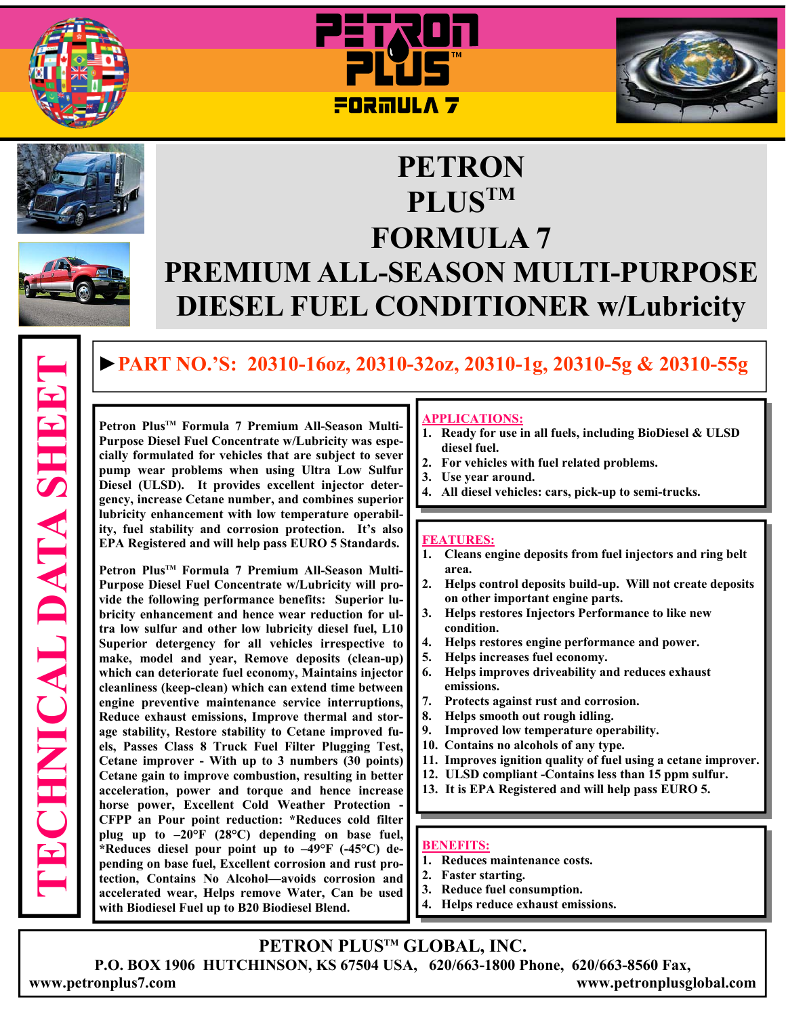









# **PETRON PLUSTM FORMULA 7 PREMIUM ALL-SEASON MULTI-PURPOSE DIESEL FUEL CONDITIONER w/Lubricity**

# **►PART NO.'S: 20310-16oz, 20310-32oz, 20310-1g, 20310-5g & 20310-55g**

**Petron PlusTM Formula 7 Premium All-Season Multi-Purpose Diesel Fuel Concentrate w/Lubricity was especially formulated for vehicles that are subject to sever pump wear problems when using Ultra Low Sulfur Diesel (ULSD). It provides excellent injector detergency, increase Cetane number, and combines superior lubricity enhancement with low temperature operability, fuel stability and corrosion protection. It's also EPA Registered and will help pass EURO 5 Standards.** 

**Petron PlusTM Formula 7 Premium All-Season Multi-Purpose Diesel Fuel Concentrate w/Lubricity will provide the following performance benefits: Superior lubricity enhancement and hence wear reduction for ultra low sulfur and other low lubricity diesel fuel, L10 Superior detergency for all vehicles irrespective to make, model and year, Remove deposits (clean-up) which can deteriorate fuel economy, Maintains injector cleanliness (keep-clean) which can extend time between engine preventive maintenance service interruptions, Reduce exhaust emissions, Improve thermal and storage stability, Restore stability to Cetane improved fuels, Passes Class 8 Truck Fuel Filter Plugging Test, Cetane improver - With up to 3 numbers (30 points) Cetane gain to improve combustion, resulting in better acceleration, power and torque and hence increase horse power, Excellent Cold Weather Protection - CFPP an Pour point reduction: \*Reduces cold filter plug up to –20°F (28°C) depending on base fuel, \*Reduces diesel pour point up to –49°F (-45°C) depending on base fuel, Excellent corrosion and rust protection, Contains No Alcohol—avoids corrosion and accelerated wear, Helps remove Water, Can be used with Biodiesel Fuel up to B20 Biodiesel Blend.**

#### **APPLICATIONS:**

- **1. Ready for use in all fuels, including BioDiesel & ULSD diesel fuel.**
- **2. For vehicles with fuel related problems.**
- **3. Use year around.**
- **4. All diesel vehicles: cars, pick-up to semi-trucks.**

#### **FEATURES:**

- **1. Cleans engine deposits from fuel injectors and ring belt area.**
- **2. Helps control deposits build-up. Will not create deposits on other important engine parts.**
- **3. Helps restores Injectors Performance to like new condition.**
- **4. Helps restores engine performance and power.**
- **5. Helps increases fuel economy.**
- **6. Helps improves driveability and reduces exhaust emissions.**
- **7. Protects against rust and corrosion.**
- **8. Helps smooth out rough idling.**
- **9. Improved low temperature operability.**
- **10. Contains no alcohols of any type.**
- **11. Improves ignition quality of fuel using a cetane improver.**
- **12. ULSD compliant -Contains less than 15 ppm sulfur.**
- **13. It is EPA Registered and will help pass EURO 5.**

#### **BENEFITS:**

- **1. Reduces maintenance costs.**
- **2. Faster starting.**
- **3. Reduce fuel consumption.**
- **4. Helps reduce exhaust emissions.**

# **PETRON PLUSTM GLOBAL, INC.**

**P.O. BOX 1906 HUTCHINSON, KS 67504 USA, 620/663-1800 Phone, 620/663-8560 Fax, www.petronplus7.com www.petronplusglobal.com** 

**TECHNICAL DATA SHEET ECHNICAL DATA SHEET**